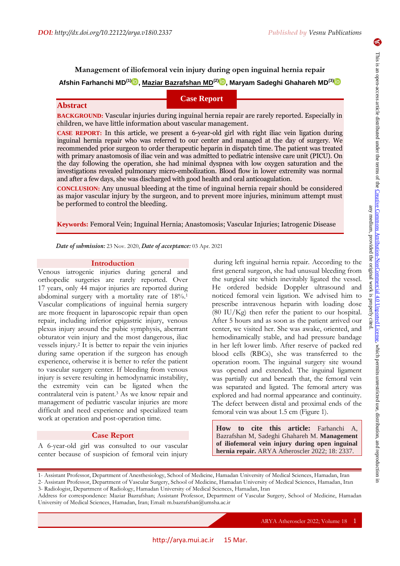# **Management of iliofemoral vein injury during open inguinal hernia repair Afshin Farhanchi MD(1) , Maziar Bazrafshan MD(2) , Maryam Sadeghi Ghahareh MD(3[\)](https://orcid.org/0000-0003-3094-3969)**

# **Case Report**

## **Abstract**

**BACKGROUND:** Vascular injuries during inguinal hernia repair are rarely reported. Especially in children, we have little information about vascular management.

**CASE REPORT:** In this article, we present a 6-year-old girl with right iliac vein ligation during inguinal hernia repair who was referred to our center and managed at the day of surgery. We recommended prior surgeon to order therapeutic heparin in dispatch time. The patient was treated with primary anastomosis of iliac vein and was admitted to pediatric intensive care unit (PICU). On the day following the operation, she had minimal dyspnea with low oxygen saturation and the investigations revealed pulmonary micro-embolization. Blood flow in lower extremity was normal and after a few days, she was discharged with good health and oral anticoagulation.

**CONCLUSION:** Any unusual bleeding at the time of inguinal hernia repair should be considered as major vascular injury by the surgeon, and to prevent more injuries, minimum attempt must be performed to control the bleeding.

**Keywords:** Femoral Vein; Inguinal Hernia; Anastomosis; Vascular Injuries; Iatrogenic Disease

*Date of submission:* 23 Nov. 2020, *Date of acceptance:* 03 Apr. 2021

#### **Introduction**

Venous iatrogenic injuries during general and orthopedic surgeries are rarely reported. Over 17 years, only 44 major injuries are reported during abdominal surgery with a mortality rate of 18%. 1 Vascular complications of inguinal hernia surgery are more frequent in laparoscopic repair than open repair, including inferior epigastric injury, venous plexus injury around the pubic symphysis, aberrant obturator vein injury and the most dangerous, iliac vessels injury.<sup>2</sup> It is better to repair the vein injuries during same operation if the surgeon has enough experience, otherwise it is better to refer the patient to vascular surgery center. If bleeding from venous injury is severe resulting in hemodynamic instability, the extremity vein can be ligated when the contralateral vein is patent.<sup>3</sup> As we know repair and management of pediatric vascular injuries are more difficult and need experience and specialized team work at operation and post-operation time.

### **Case Report**

A 6-year-old girl was consulted to our vascular center because of suspicion of femoral vein injury

during left inguinal hernia repair. According to the first general surgeon, she had unusual bleeding from the surgical site which inevitably ligated the vessel. He ordered bedside Doppler ultrasound and noticed femoral vein ligation. We advised him to prescribe intravenous heparin with loading dose (80 IU/Kg) then refer the patient to our hospital. After 5 hours and as soon as the patient arrived our center, we visited her. She was awake, oriented, and hemodinamically stable, and had pressure bandage in her left lower limb. After reserve of packed red blood cells (RBCs), she was transferred to the operation room. The inguinal surgery site wound was opened and extended. The inguinal ligament was partially cut and beneath that, the femoral vein was separated and ligated. The femoral artery was explored and had normal appearance and continuity. The defect between distal and proximal ends of the femoral vein was about 1.5 cm (Figure 1).

**How to cite this article:** Farhanchi A, Bazrafshan M, Sadeghi Ghahareh M. **Management of iliofemoral vein injury during open inguinal hernia repair.** ARYA Atheroscler 2022; 18: 2337.

1- Assistant Professor, Department of Anesthesiology, School of Medicine, Hamadan University of Medical Sciences, Hamadan, Iran

Address for correspondence: Maziar Bazrafshan; Assistant Professor, Department of Vascular Surgery, School of Medicine, Hamadan University of Medical Sciences, Hamadan, Iran; Email: m.bazrafshan@umsha.ac.ir

ARYA Atheroscler 2022; Volume 18 1

 $\blacklozenge$ 

<sup>2-</sup> Assistant Professor, Department of Vascular Surgery, School of Medicine, Hamadan University of Medical Sciences, Hamadan, Iran 3- Radiologist, Department of Radiology, Hamadan University of Medical Sciences, Hamadan, Iran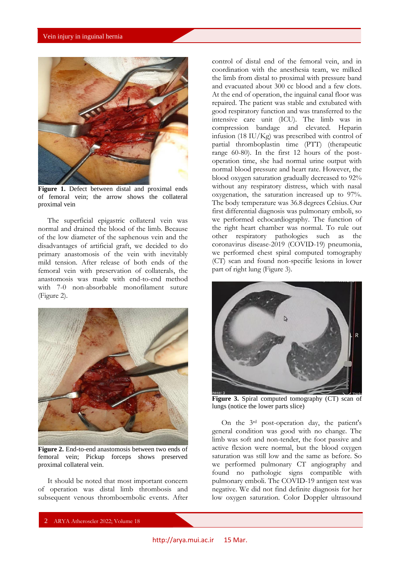

**Figure 1.** Defect between distal and proximal ends of femoral vein; the arrow shows the collateral proximal vein

The superficial epigastric collateral vein was normal and drained the blood of the limb. Because of the low diameter of the saphenous vein and the disadvantages of artificial graft, we decided to do primary anastomosis of the vein with inevitably mild tension. After release of both ends of the femoral vein with preservation of collaterals, the anastomosis was made with end-to-end method with 7-0 non-absorbable monofilament suture (Figure 2).



**Figure 2.** End-to-end anastomosis between two ends of femoral vein; Pickup forceps shows preserved proximal collateral vein.

It should be noted that most important concern of operation was distal limb thrombosis and subsequent venous thromboembolic events. After

control of distal end of the femoral vein, and in coordination with the anesthesia team, we milked the limb from distal to proximal with pressure band and evacuated about 300 cc blood and a few clots. At the end of operation, the inguinal canal floor was repaired. The patient was stable and extubated with good respiratory function and was transferred to the intensive care unit (ICU). The limb was in compression bandage and elevated. Heparin infusion (18 IU/Kg) was prescribed with control of partial thromboplastin time (PTT) (therapeutic range 60-80). In the first 12 hours of the postoperation time, she had normal urine output with normal blood pressure and heart rate. However, the blood oxygen saturation gradually decreased to 92% without any respiratory distress, which with nasal oxygenation, the saturation increased up to 97%. The body temperature was 36.8 degrees Celsius. Our first differential diagnosis was pulmonary emboli, so we performed echocardiography. The function of the right heart chamber was normal. To rule out other respiratory pathologies such as the coronavirus disease-2019 (COVID-19) pneumonia, we performed chest spiral computed tomography (CT) scan and found non-specific lesions in lower part of right lung (Figure 3).



**Figure 3.** Spiral computed tomography (CT) scan of lungs (notice the lower parts slice)

On the 3rd post-operation day, the patient's general condition was good with no change. The limb was soft and non-tender, the foot passive and active flexion were normal, but the blood oxygen saturation was still low and the same as before. So we performed pulmonary CT angiography and found no pathologic signs compatible with pulmonary emboli. The COVID-19 antigen test was negative. We did not find definite diagnosis for her low oxygen saturation. Color Doppler ultrasound

2 ARYA Atheroscler 2022; Volume 18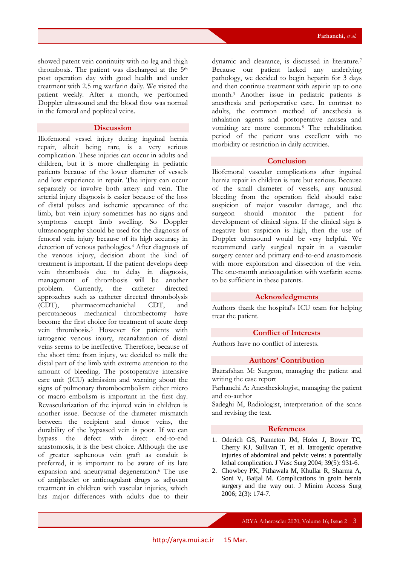showed patent vein continuity with no leg and thigh thrombosis. The patient was discharged at the 5th post operation day with good health and under treatment with 2.5 mg warfarin daily. We visited the patient weekly. After a month, we performed Doppler ultrasound and the blood flow was normal in the femoral and popliteal veins.

#### **Discussion**

Iliofemoral vessel injury during inguinal hernia repair, albeit being rare, is a very serious complication. These injuries can occur in adults and children, but it is more challenging in pediatric patients because of the lower diameter of vessels and low experience in repair. The injury can occur separately or involve both artery and vein. The arterial injury diagnosis is easier because of the loss of distal pulses and ischemic appearance of the limb, but vein injury sometimes has no signs and symptoms except limb swelling. So Doppler ultrasonography should be used for the diagnosis of femoral vein injury because of its high accuracy in detection of venous pathologies.<sup>4</sup> After diagnosis of the venous injury, decision about the kind of treatment is important. If the patient develops deep vein thrombosis due to delay in diagnosis, management of thrombosis will be another problem. Currently, the catheter directed approaches such as catheter directed thrombolysis (CDT), pharmacomechanichal CDT, and percutaneous mechanical thrombectomy have become the first choice for treatment of acute deep vein thrombosis.<sup>5</sup> However for patients with iatrogenic venous injury, recanalization of distal veins seems to be ineffective. Therefore, because of the short time from injury, we decided to milk the distal part of the limb with extreme attention to the amount of bleeding. The postoperative intensive care unit (ICU) admission and warning about the signs of pulmonary thromboembolism either micro or macro embolism is important in the first day. Revascularization of the injured vein in children is another issue. Because of the diameter mismatch between the recipient and donor veins, the durability of the bypassed vein is poor. If we can bypass the defect with direct end-to-end anastomosis, it is the best choice. Although the use of greater saphenous vein graft as conduit is preferred, it is important to be aware of its late expansion and aneurysmal degeneration.<sup>6</sup> The use of antiplatelet or anticoagulant drugs as adjuvant treatment in children with vascular injuries, which has major differences with adults due to their

dynamic and clearance, is discussed in literature.<sup>7</sup> Because our patient lacked any underlying pathology, we decided to begin heparin for 3 days and then continue treatment with aspirin up to one month.<sup>3</sup> Another issue in pediatric patients is anesthesia and perioperative care. In contrast to adults, the common method of anesthesia is inhalation agents and postoperative nausea and vomiting are more common.<sup>8</sup> The rehabilitation period of the patient was excellent with no morbidity or restriction in daily activities.

#### **Conclusion**

Iliofemoral vascular complications after inguinal hernia repair in children is rare but serious. Because of the small diameter of vessels, any unusual bleeding from the operation field should raise suspicion of major vascular damage, and the surgeon should monitor the patient for development of clinical signs. If the clinical sign is negative but suspicion is high, then the use of Doppler ultrasound would be very helpful. We recommend early surgical repair in a vascular surgery center and primary end-to-end anastomosis with more exploration and dissection of the vein. The one-month anticoagulation with warfarin seems to be sufficient in these patents.

#### **Acknowledgments**

Authors thank the hospital's ICU team for helping treat the patient.

#### **Conflict of Interests**

Authors have no conflict of interests.

#### **Authors' Contribution**

Bazrafshan M: Surgeon, managing the patient and writing the case report

Farhanchi A: Anesthesiologist, managing the patient and co-author

Sadeghi M, Radiologist, interpretation of the scans and revising the text.

#### **References**

- 1. Oderich GS, Panneton JM, Hofer J, Bower TC, Cherry KJ, Sullivan T, et al. Iatrogenic operative injuries of abdominal and pelvic veins: a potentially lethal complication. J Vasc Surg 2004; 39(5): 931-6.
- 2. Chowbey PK, Pithawala M, Khullar R, Sharma A, Soni V, Baijal M. Complications in groin hernia surgery and the way out. J Minim Access Surg 2006; 2(3): 174-7.